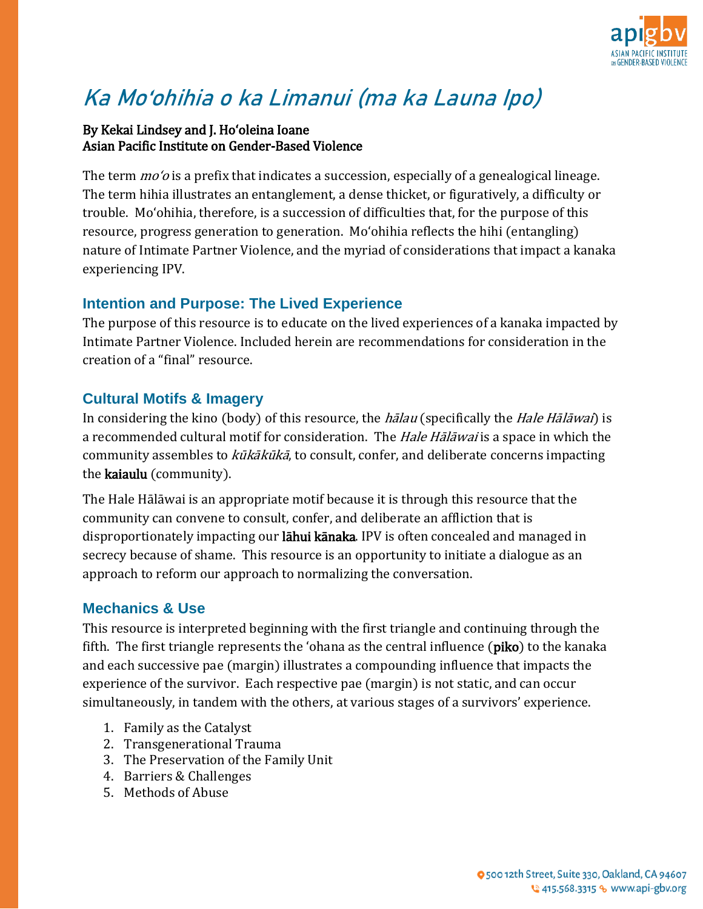

# **Ka Moʻohihia o ka Limanui (ma ka Launa Ipo)**

#### By Kekai Lindsey and J. Hoʻoleina Ioane Asian Pacific Institute on Gender-Based Violence

The term *mo* '*o* is a prefix that indicates a succession, especially of a genealogical lineage. The term hihia illustrates an entanglement, a dense thicket, or figuratively, a difficulty or trouble. Moʻohihia, therefore, is a succession of difficulties that, for the purpose of this resource, progress generation to generation. Moʻohihia reflects the hihi (entangling) nature of Intimate Partner Violence, and the myriad of considerations that impact a kanaka experiencing IPV.

# **Intention and Purpose: The Lived Experience**

The purpose of this resource is to educate on the lived experiences of a kanaka impacted by Intimate Partner Violence. Included herein are recommendations for consideration in the creation of a "final" resource.

# **Cultural Motifs & Imagery**

In considering the kino (body) of this resource, the *halau* (specifically the *Hale Halawai*) is a recommended cultural motif for consideration. The *Hale Hālāwai* is a space in which the community assembles to kūkākūkā, to consult, confer, and deliberate concerns impacting the kaiaulu (community).

The Hale Hālāwai is an appropriate motif because it is through this resource that the community can convene to consult, confer, and deliberate an affliction that is disproportionately impacting our lāhui kānaka. IPV is often concealed and managed in secrecy because of shame. This resource is an opportunity to initiate a dialogue as an approach to reform our approach to normalizing the conversation.

## **Mechanics & Use**

This resource is interpreted beginning with the first triangle and continuing through the fifth. The first triangle represents the ʻohana as the central influence (piko) to the kanaka and each successive pae (margin) illustrates a compounding influence that impacts the experience of the survivor. Each respective pae (margin) is not static, and can occur simultaneously, in tandem with the others, at various stages of a survivors' experience.

- 1. Family as the Catalyst
- 2. Transgenerational Trauma
- 3. The Preservation of the Family Unit
- 4. Barriers & Challenges
- 5. Methods of Abuse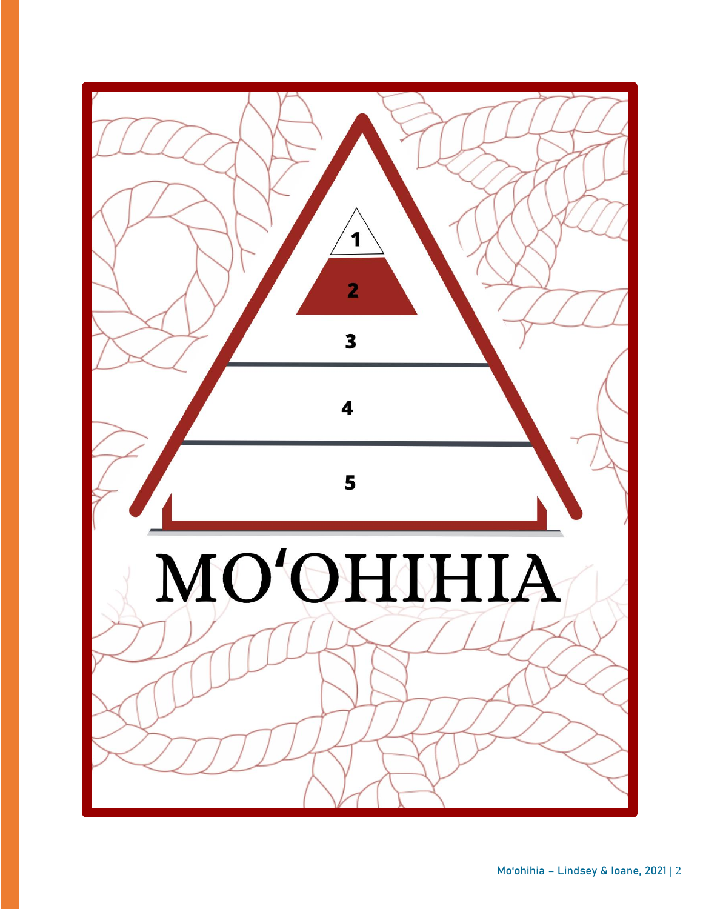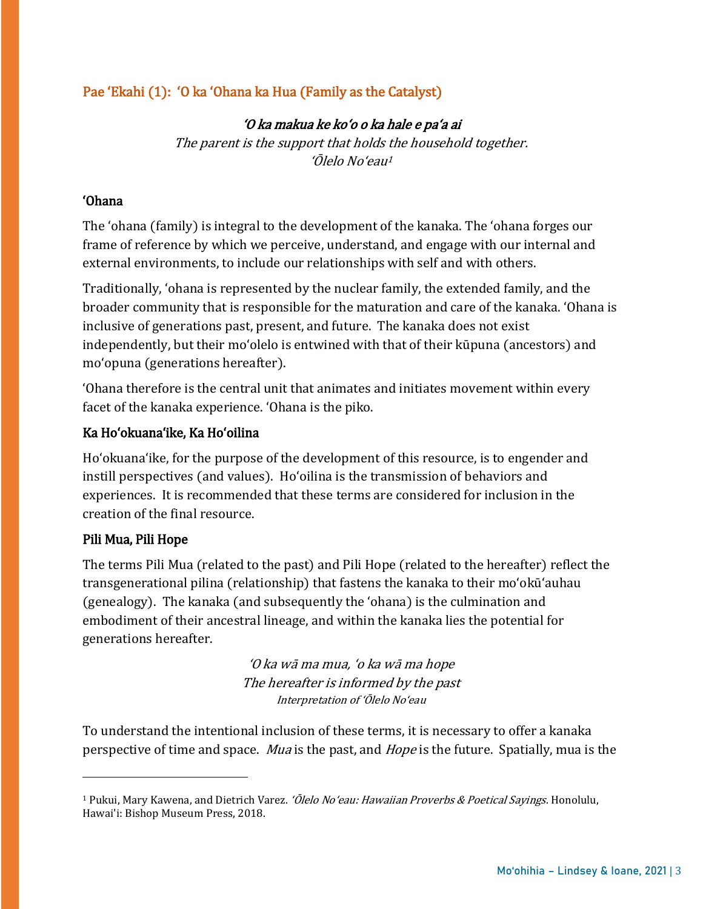# Pae ʻEkahi (1): ʻO ka ʻOhana ka Hua (Family as the Catalyst)

#### ʻO ka makua ke koʻo o ka hale e paʻa ai

The parent is the support that holds the household together. ʻŌlelo Noʻeau<sup>1</sup>

#### ʻOhana

The ʻohana (family) is integral to the development of the kanaka. The ʻohana forges our frame of reference by which we perceive, understand, and engage with our internal and external environments, to include our relationships with self and with others.

Traditionally, ʻohana is represented by the nuclear family, the extended family, and the broader community that is responsible for the maturation and care of the kanaka. ʻOhana is inclusive of generations past, present, and future. The kanaka does not exist independently, but their moʻolelo is entwined with that of their kūpuna (ancestors) and moʻopuna (generations hereafter).

ʻOhana therefore is the central unit that animates and initiates movement within every facet of the kanaka experience. ʻOhana is the piko.

#### Ka Hoʻokuanaʻike, Ka Hoʻoilina

Hoʻokuanaʻike, for the purpose of the development of this resource, is to engender and instill perspectives (and values). Hoʻoilina is the transmission of behaviors and experiences. It is recommended that these terms are considered for inclusion in the creation of the final resource.

#### Pili Mua, Pili Hope

 $\overline{a}$ 

The terms Pili Mua (related to the past) and Pili Hope (related to the hereafter) reflect the transgenerational pilina (relationship) that fastens the kanaka to their moʻokūʻauhau (genealogy). The kanaka (and subsequently the ʻohana) is the culmination and embodiment of their ancestral lineage, and within the kanaka lies the potential for generations hereafter.

> ʻO ka wā ma mua, ʻo ka wā ma hope The hereafter is informed by the past Interpretation of ʻŌlelo Noʻeau

To understand the intentional inclusion of these terms, it is necessary to offer a kanaka perspective of time and space. *Mua* is the past, and *Hope* is the future. Spatially, mua is the

<sup>&</sup>lt;sup>1</sup> Pukui, Mary Kawena, and Dietrich Varez. *'Ōlelo No'eau: Hawaiian Proverbs & Poetical Sayings*. Honolulu, Hawai'i: Bishop Museum Press, 2018.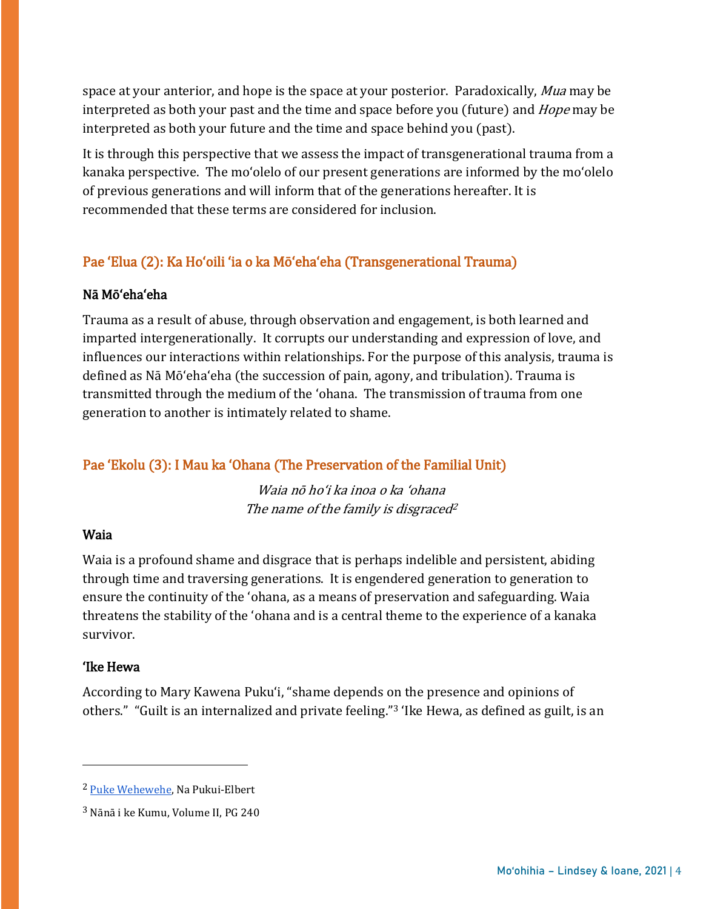space at your anterior, and hope is the space at your posterior. Paradoxically, Mua may be interpreted as both your past and the time and space before you (future) and Hope may be interpreted as both your future and the time and space behind you (past).

It is through this perspective that we assess the impact of transgenerational trauma from a kanaka perspective. The moʻolelo of our present generations are informed by the moʻolelo of previous generations and will inform that of the generations hereafter. It is recommended that these terms are considered for inclusion.

# Pae ʻElua (2): Ka Hoʻoili ʻia o ka Mōʻehaʻeha (Transgenerational Trauma)

#### Nā Mōʻehaʻeha

Trauma as a result of abuse, through observation and engagement, is both learned and imparted intergenerationally. It corrupts our understanding and expression of love, and influences our interactions within relationships. For the purpose of this analysis, trauma is defined as Nā Mōʻehaʻeha (the succession of pain, agony, and tribulation). Trauma is transmitted through the medium of the ʻohana. The transmission of trauma from one generation to another is intimately related to shame.

## Pae ʻEkolu (3): I Mau ka ʻOhana (The Preservation of the Familial Unit)

Waia nō hoʻi ka inoa o ka ʻohana The name of the family is disgraced<sup>2</sup>

#### Waia

Waia is a profound shame and disgrace that is perhaps indelible and persistent, abiding through time and traversing generations. It is engendered generation to generation to ensure the continuity of the ʻohana, as a means of preservation and safeguarding. Waia threatens the stability of the ʻohana and is a central theme to the experience of a kanaka survivor.

#### ʻIke Hewa

 $\overline{a}$ 

According to Mary Kawena Pukuʻi, "shame depends on the presence and opinions of others." "Guilt is an internalized and private feeling."<sup>3</sup> ʻIke Hewa, as defined as guilt, is an

<sup>2</sup> [Puke Wehewehe,](https://hilo.hawaii.edu/wehe/?q=waia+) Na Pukui-Elbert

<sup>3</sup> Nānā i ke Kumu, Volume II, PG 240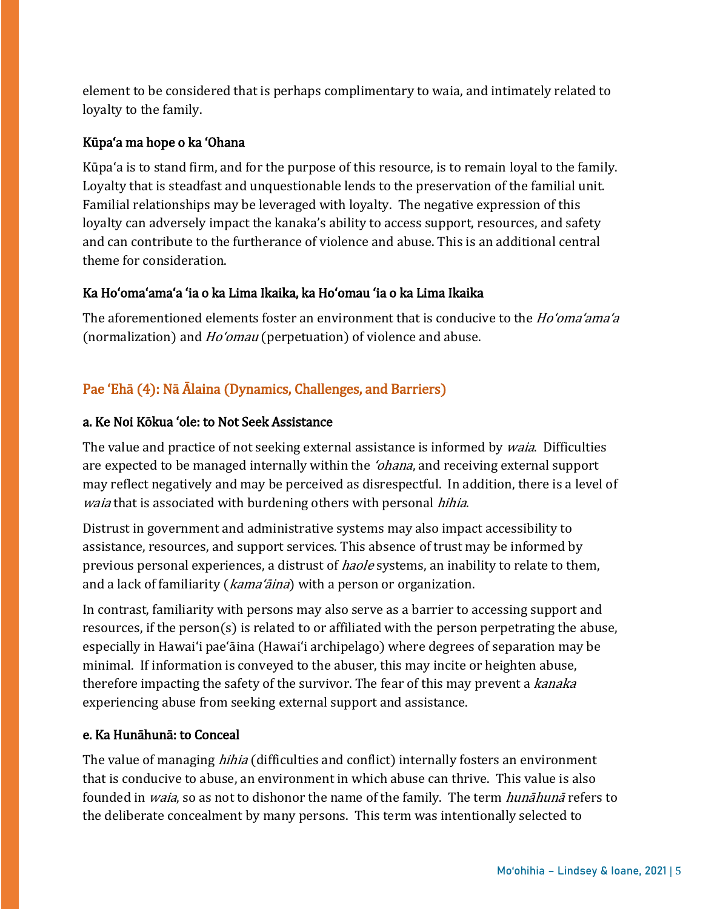element to be considered that is perhaps complimentary to waia, and intimately related to loyalty to the family.

## Kūpaʻa ma hope o ka ʻOhana

Kūpaʻa is to stand firm, and for the purpose of this resource, is to remain loyal to the family. Loyalty that is steadfast and unquestionable lends to the preservation of the familial unit. Familial relationships may be leveraged with loyalty. The negative expression of this loyalty can adversely impact the kanaka's ability to access support, resources, and safety and can contribute to the furtherance of violence and abuse. This is an additional central theme for consideration.

## Ka Hoʻomaʻamaʻa ʻia o ka Lima Ikaika, ka Hoʻomau ʻia o ka Lima Ikaika

The aforementioned elements foster an environment that is conducive to the *Ho'oma'ama'a* (normalization) and *Ho'omau* (perpetuation) of violence and abuse.

# Pae ʻEhā (4): Nā Ālaina (Dynamics, Challenges, and Barriers)

## a. Ke Noi Kōkua ʻole: to Not Seek Assistance

The value and practice of not seeking external assistance is informed by *waia*. Difficulties are expected to be managed internally within the *'ohana*, and receiving external support may reflect negatively and may be perceived as disrespectful. In addition, there is a level of waia that is associated with burdening others with personal hihia.

Distrust in government and administrative systems may also impact accessibility to assistance, resources, and support services. This absence of trust may be informed by previous personal experiences, a distrust of *haole* systems, an inability to relate to them, and a lack of familiarity (*kama'āina*) with a person or organization.

In contrast, familiarity with persons may also serve as a barrier to accessing support and resources, if the person(s) is related to or affiliated with the person perpetrating the abuse, especially in Hawaiʻi paeʻāina (Hawaiʻi archipelago) where degrees of separation may be minimal. If information is conveyed to the abuser, this may incite or heighten abuse, therefore impacting the safety of the survivor. The fear of this may prevent a kanaka experiencing abuse from seeking external support and assistance.

#### e. Ka Hunāhunā: to Conceal

The value of managing *hihia* (difficulties and conflict) internally fosters an environment that is conducive to abuse, an environment in which abuse can thrive. This value is also founded in *waia*, so as not to dishonor the name of the family. The term *hunāhunā* refers to the deliberate concealment by many persons. This term was intentionally selected to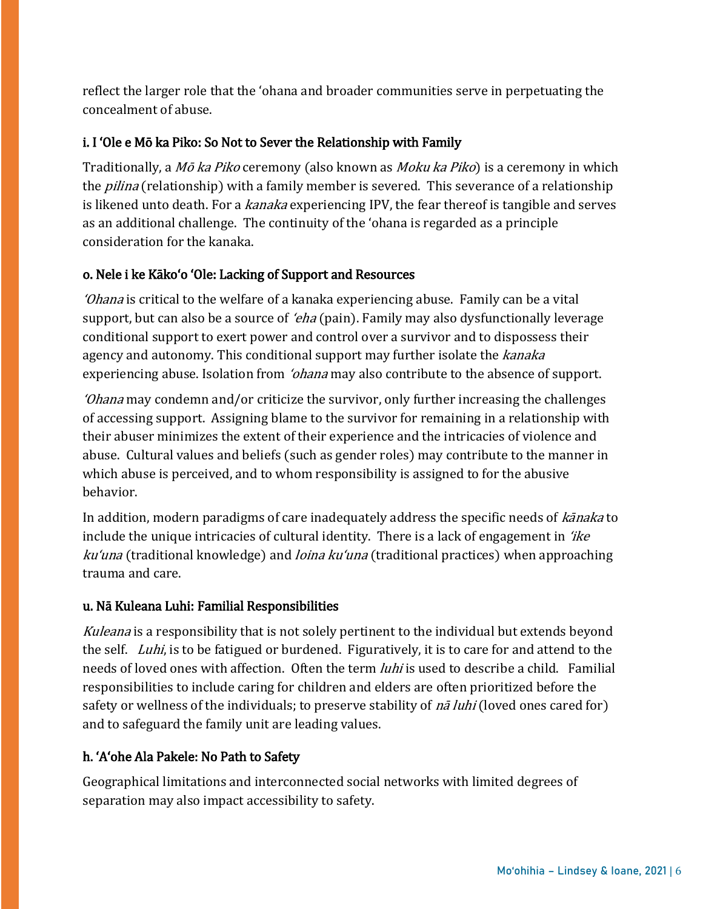reflect the larger role that the ʻohana and broader communities serve in perpetuating the concealment of abuse.

## i. I ʻOle e Mō ka Piko: So Not to Sever the Relationship with Family

Traditionally, a Mō ka Piko ceremony (also known as Moku ka Piko) is a ceremony in which the *pilina* (relationship) with a family member is severed. This severance of a relationship is likened unto death. For a kanaka experiencing IPV, the fear thereof is tangible and serves as an additional challenge. The continuity of the ʻohana is regarded as a principle consideration for the kanaka.

#### o. Nele i ke Kākoʻo ʻOle: Lacking of Support and Resources

<sup>ʻ</sup>Ohana is critical to the welfare of a kanaka experiencing abuse. Family can be a vital support, but can also be a source of *'eha* (pain). Family may also dysfunctionally leverage conditional support to exert power and control over a survivor and to dispossess their agency and autonomy. This conditional support may further isolate the kanaka experiencing abuse. Isolation from *'ohana* may also contribute to the absence of support.

<sup>ʻ</sup>Ohana may condemn and/or criticize the survivor, only further increasing the challenges of accessing support. Assigning blame to the survivor for remaining in a relationship with their abuser minimizes the extent of their experience and the intricacies of violence and abuse. Cultural values and beliefs (such as gender roles) may contribute to the manner in which abuse is perceived, and to whom responsibility is assigned to for the abusive behavior.

In addition, modern paradigms of care inadequately address the specific needs of kanaka to include the unique intricacies of cultural identity. There is a lack of engagement in  $'$ ike ku'una (traditional knowledge) and *loina ku'una* (traditional practices) when approaching trauma and care.

## u. Nā Kuleana Luhi: Familial Responsibilities

Kuleana is a responsibility that is not solely pertinent to the individual but extends beyond the self. Luhi, is to be fatigued or burdened. Figuratively, it is to care for and attend to the needs of loved ones with affection. Often the term *luhi* is used to describe a child. Familial responsibilities to include caring for children and elders are often prioritized before the safety or wellness of the individuals; to preserve stability of *nā luhi* (loved ones cared for) and to safeguard the family unit are leading values.

# h. ʻAʻohe Ala Pakele: No Path to Safety

Geographical limitations and interconnected social networks with limited degrees of separation may also impact accessibility to safety.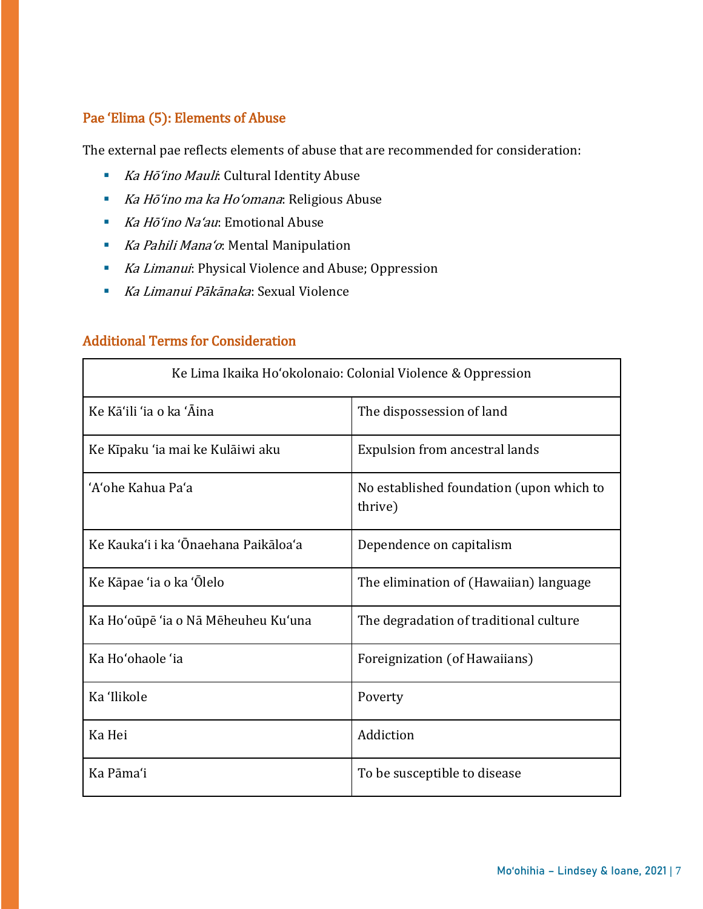# Pae ʻElima (5): Elements of Abuse

The external pae reflects elements of abuse that are recommended for consideration:

- Ka Hōʻino Mauli: Cultural Identity Abuse
- Ka Hō'ino ma ka Ho'omana: Religious Abuse
- Ka Hōʻino Na'au: Emotional Abuse
- Ka Pahili Mana'o: Mental Manipulation
- Ka Limanui: Physical Violence and Abuse; Oppression
- Ka Limanui Pākānaka: Sexual Violence

# Additional Terms for Consideration

| Ke Lima Ikaika Ho'okolonaio: Colonial Violence & Oppression |                                                     |  |
|-------------------------------------------------------------|-----------------------------------------------------|--|
| Ke Kā'ili 'ia o ka 'Āina                                    | The dispossession of land                           |  |
| Ke Kīpaku 'ia mai ke Kulāiwi aku                            | Expulsion from ancestral lands                      |  |
| 'A'ohe Kahua Pa'a                                           | No established foundation (upon which to<br>thrive) |  |
| Ke Kauka'i i ka 'Ōnaehana Paikāloa'a                        | Dependence on capitalism                            |  |
| Ke Kāpae 'ia o ka 'Olelo                                    | The elimination of (Hawaiian) language              |  |
| Ka Ho'oūpē 'ia o Nā Mēheuheu Ku'una                         | The degradation of traditional culture              |  |
| Ka Ho'ohaole 'ia                                            | Foreignization (of Hawaiians)                       |  |
| Ka 'Ilikole                                                 | Poverty                                             |  |
| Ka Hei                                                      | Addiction                                           |  |
| Ka Pāma'i                                                   | To be susceptible to disease                        |  |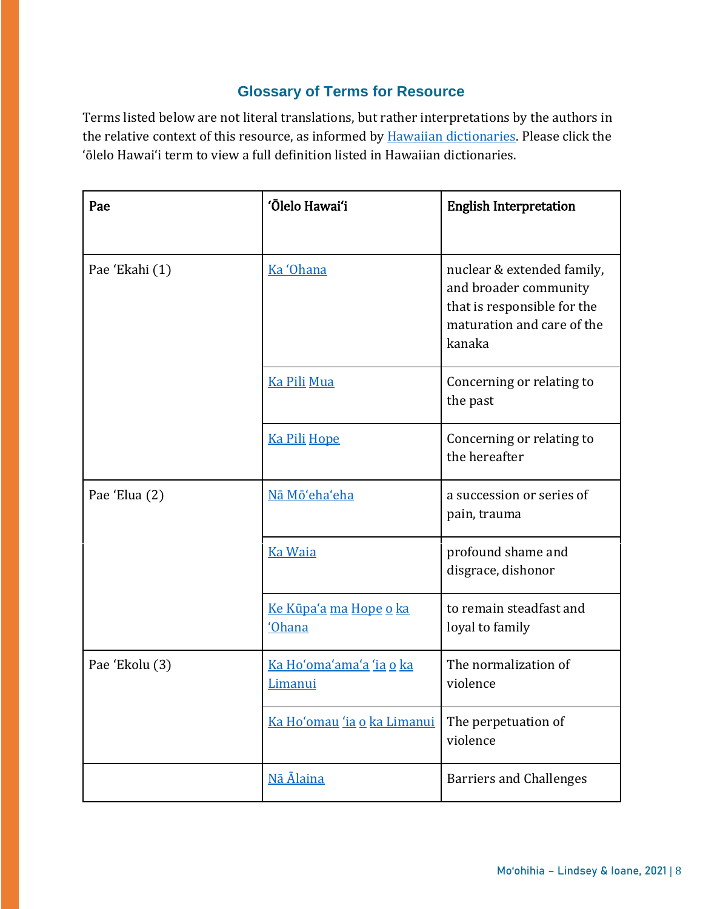# **Glossary of Terms for Resource**

Terms listed below are not literal translations, but rather interpretations by the authors in the relative context of this resource, as informed by **Hawaiian dictionaries**. Please click the ʻōlelo Hawaiʻi term to view a full definition listed in Hawaiian dictionaries.

| Pae            | 'Ōlelo Hawai'i                             | <b>English Interpretation</b>                                                                                              |
|----------------|--------------------------------------------|----------------------------------------------------------------------------------------------------------------------------|
| Pae 'Ekahi (1) | Ka 'Ohana                                  | nuclear & extended family,<br>and broader community<br>that is responsible for the<br>maturation and care of the<br>kanaka |
|                | <b>Ka Pili Mua</b>                         | Concerning or relating to<br>the past                                                                                      |
|                | <u>Ka Pili Hope</u>                        | Concerning or relating to<br>the hereafter                                                                                 |
| Pae 'Elua (2)  | Nā Mō'eha'eha                              | a succession or series of<br>pain, trauma                                                                                  |
|                | <b>Ka Waia</b>                             | profound shame and<br>disgrace, dishonor                                                                                   |
|                | <u>Ke Kūpa'a ma Hope o ka</u><br>'Ohana    | to remain steadfast and<br>loyal to family                                                                                 |
| Pae 'Ekolu (3) | <u>Ka Hoʻoma'ama'a 'ia o ka</u><br>Limanui | The normalization of<br>violence                                                                                           |
|                | Ka Ho'omau 'ia o ka Limanui                | The perpetuation of<br>violence                                                                                            |
|                | Nā Ālaina                                  | <b>Barriers and Challenges</b>                                                                                             |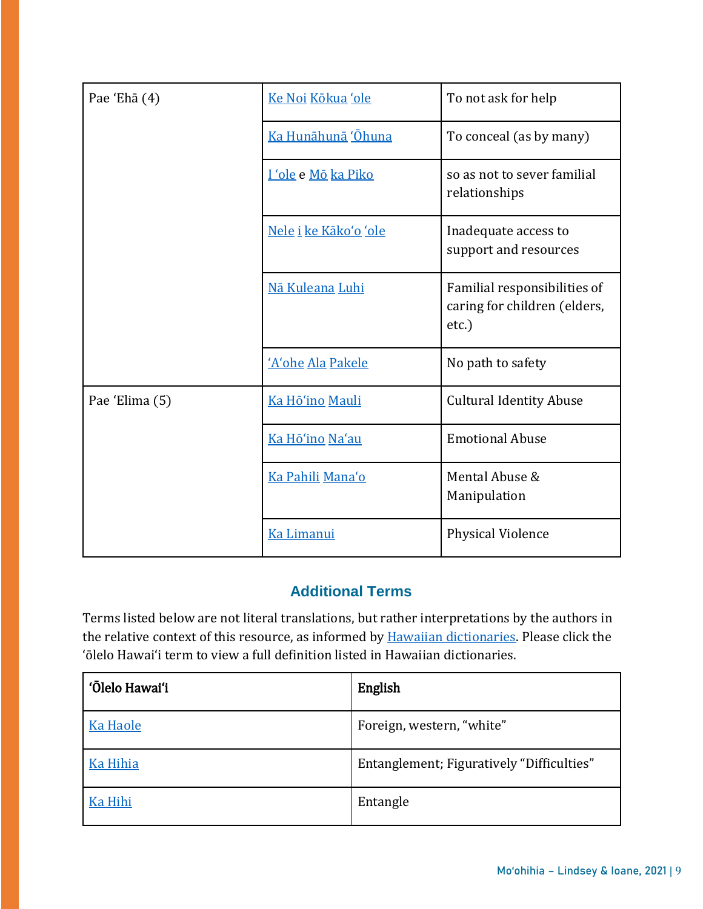| Pae 'Ehā (4)   | Ke Noi Kōkua 'ole     | To not ask for help                                                   |
|----------------|-----------------------|-----------------------------------------------------------------------|
|                | Ka Hunāhunā 'Ōhuna    | To conceal (as by many)                                               |
|                | I 'ole e Mō ka Piko   | so as not to sever familial<br>relationships                          |
|                | Nele i ke Kāko'o 'ole | Inadequate access to<br>support and resources                         |
|                | Nā Kuleana Luhi       | Familial responsibilities of<br>caring for children (elders,<br>etc.) |
|                | 'A'ohe Ala Pakele     | No path to safety                                                     |
| Pae 'Elima (5) | Ka Hō'ino Mauli       | <b>Cultural Identity Abuse</b>                                        |
|                | Ka Hō'ino Na'au       | <b>Emotional Abuse</b>                                                |
|                | Ka Pahili Mana'o      | Mental Abuse &<br>Manipulation                                        |
|                | Ka Limanui            | <b>Physical Violence</b>                                              |

# **Additional Terms**

Terms listed below are not literal translations, but rather interpretations by the authors in the relative context of this resource, as informed by **Hawaiian dictionaries**. Please click the ʻōlelo Hawaiʻi term to view a full definition listed in Hawaiian dictionaries.

| 'Ōlelo Hawai'i  | English                                   |
|-----------------|-------------------------------------------|
| <b>Ka Haole</b> | Foreign, western, "white"                 |
| <b>Ka Hihia</b> | Entanglement; Figuratively "Difficulties" |
| Ka Hihi         | Entangle                                  |